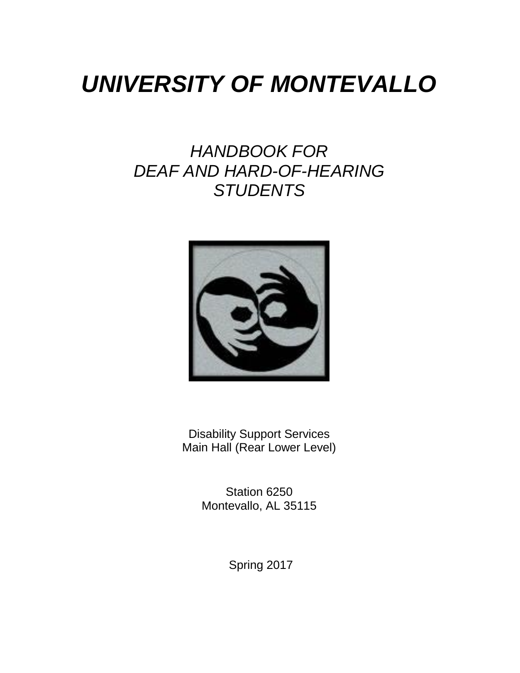# *UNIVERSITY OF MONTEVALLO*

# *HANDBOOK FOR DEAF AND HARD-OF-HEARING STUDENTS*



Disability Support Services Main Hall (Rear Lower Level)

> Station 6250 Montevallo, AL 35115

> > Spring 2017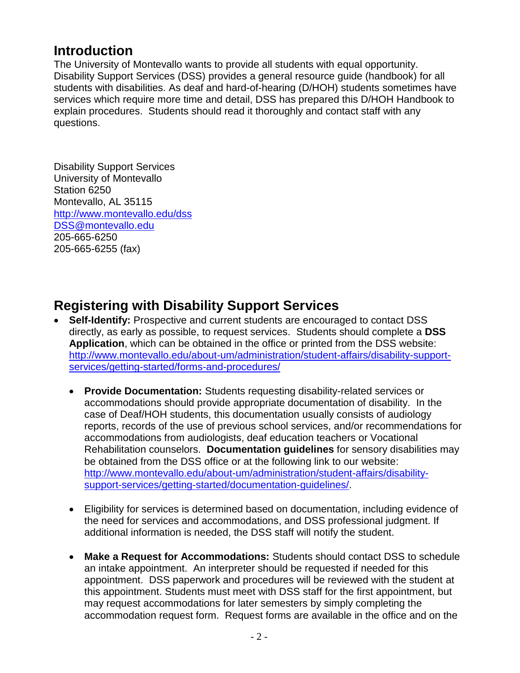### **Introduction**

The University of Montevallo wants to provide all students with equal opportunity. Disability Support Services (DSS) provides a general resource guide (handbook) for all students with disabilities. As deaf and hard-of-hearing (D/HOH) students sometimes have services which require more time and detail, DSS has prepared this D/HOH Handbook to explain procedures. Students should read it thoroughly and contact staff with any questions.

Disability Support Services University of Montevallo Station 6250 Montevallo, AL 35115 <http://www.montevallo.edu/dss> [DSS@montevallo.edu](mailto:DSS@montevallo.edu) 205-665-6250 205-665-6255 (fax)

# **Registering with Disability Support Services**

- **Self-Identify:** Prospective and current students are encouraged to contact DSS directly, as early as possible, to request services. Students should complete a **DSS Application**, which can be obtained in the office or printed from the DSS website: [http://www.montevallo.edu/about-um/administration/student-affairs/disability-support](http://www.montevallo.edu/about-um/administration/student-affairs/disability-support-services/getting-started/forms-and-procedures/)[services/getting-started/forms-and-procedures/](http://www.montevallo.edu/about-um/administration/student-affairs/disability-support-services/getting-started/forms-and-procedures/)
	- **Provide Documentation:** Students requesting disability-related services or accommodations should provide appropriate documentation of disability. In the case of Deaf/HOH students, this documentation usually consists of audiology reports, records of the use of previous school services, and/or recommendations for accommodations from audiologists, deaf education teachers or Vocational Rehabilitation counselors. **Documentation guidelines** for sensory disabilities may be obtained from the DSS office or at the following link to our website: [http://www.montevallo.edu/about-um/administration/student-affairs/disability](http://www.montevallo.edu/about-um/administration/student-affairs/disability-support-services/getting-started/documentation-guidelines/)[support-services/getting-started/documentation-guidelines/.](http://www.montevallo.edu/about-um/administration/student-affairs/disability-support-services/getting-started/documentation-guidelines/)
	- Eligibility for services is determined based on documentation, including evidence of the need for services and accommodations, and DSS professional judgment. If additional information is needed, the DSS staff will notify the student.
	- **Make a Request for Accommodations:** Students should contact DSS to schedule an intake appointment. An interpreter should be requested if needed for this appointment. DSS paperwork and procedures will be reviewed with the student at this appointment. Students must meet with DSS staff for the first appointment, but may request accommodations for later semesters by simply completing the accommodation request form. Request forms are available in the office and on the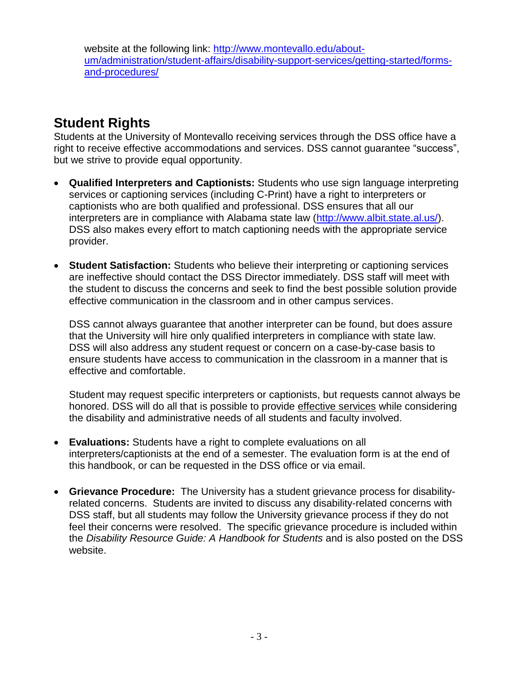website at the following link: [http://www.montevallo.edu/about](http://www.montevallo.edu/about-um/administration/student-affairs/disability-support-services/getting-started/forms-and-procedures/)[um/administration/student-affairs/disability-support-services/getting-started/forms](http://www.montevallo.edu/about-um/administration/student-affairs/disability-support-services/getting-started/forms-and-procedures/)[and-procedures/](http://www.montevallo.edu/about-um/administration/student-affairs/disability-support-services/getting-started/forms-and-procedures/)

## **Student Rights**

Students at the University of Montevallo receiving services through the DSS office have a right to receive effective accommodations and services. DSS cannot guarantee "success", but we strive to provide equal opportunity.

- **Qualified Interpreters and Captionists:** Students who use sign language interpreting services or captioning services (including C-Print) have a right to interpreters or captionists who are both qualified and professional. DSS ensures that all our interpreters are in compliance with Alabama state law [\(http://www.albit.state.al.us/\)](http://www.albit.state.al.us/). DSS also makes every effort to match captioning needs with the appropriate service provider.
- **Student Satisfaction:** Students who believe their interpreting or captioning services are ineffective should contact the DSS Director immediately. DSS staff will meet with the student to discuss the concerns and seek to find the best possible solution provide effective communication in the classroom and in other campus services.

DSS cannot always guarantee that another interpreter can be found, but does assure that the University will hire only qualified interpreters in compliance with state law. DSS will also address any student request or concern on a case-by-case basis to ensure students have access to communication in the classroom in a manner that is effective and comfortable.

Student may request specific interpreters or captionists, but requests cannot always be honored. DSS will do all that is possible to provide effective services while considering the disability and administrative needs of all students and faculty involved.

- **Evaluations:** Students have a right to complete evaluations on all interpreters/captionists at the end of a semester. The evaluation form is at the end of this handbook, or can be requested in the DSS office or via email.
- **Grievance Procedure:** The University has a student grievance process for disabilityrelated concerns. Students are invited to discuss any disability-related concerns with DSS staff, but all students may follow the University grievance process if they do not feel their concerns were resolved. The specific grievance procedure is included within the *Disability Resource Guide: A Handbook for Students* and is also posted on the DSS website.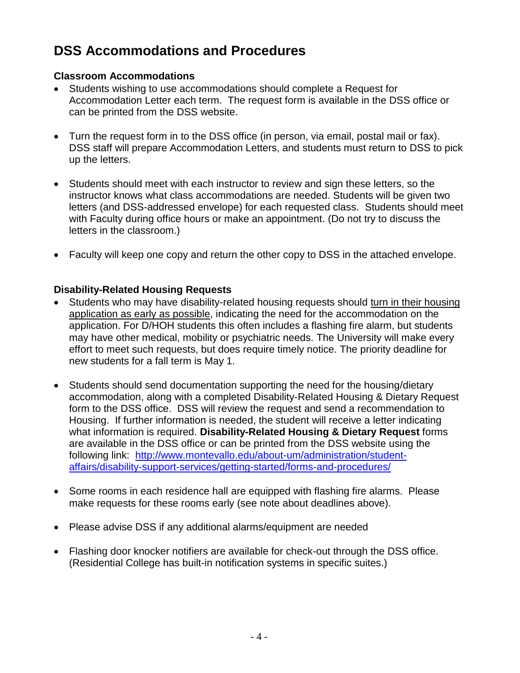# **DSS Accommodations and Procedures**

#### **Classroom Accommodations**

- Students wishing to use accommodations should complete a Request for Accommodation Letter each term. The request form is available in the DSS office or can be printed from the DSS website.
- Turn the request form in to the DSS office (in person, via email, postal mail or fax). DSS staff will prepare Accommodation Letters, and students must return to DSS to pick up the letters.
- Students should meet with each instructor to review and sign these letters, so the instructor knows what class accommodations are needed. Students will be given two letters (and DSS-addressed envelope) for each requested class. Students should meet with Faculty during office hours or make an appointment. (Do not try to discuss the letters in the classroom.)
- Faculty will keep one copy and return the other copy to DSS in the attached envelope.

#### **Disability-Related Housing Requests**

- Students who may have disability-related housing requests should turn in their housing application as early as possible, indicating the need for the accommodation on the application. For D/HOH students this often includes a flashing fire alarm, but students may have other medical, mobility or psychiatric needs. The University will make every effort to meet such requests, but does require timely notice. The priority deadline for new students for a fall term is May 1.
- Students should send documentation supporting the need for the housing/dietary accommodation, along with a completed Disability-Related Housing & Dietary Request form to the DSS office. DSS will review the request and send a recommendation to Housing. If further information is needed, the student will receive a letter indicating what information is required. **Disability-Related Housing & Dietary Request** forms are available in the DSS office or can be printed from the DSS website using the following link: [http://www.montevallo.edu/about-um/administration/student](http://www.montevallo.edu/about-um/administration/student-affairs/disability-support-services/getting-started/forms-and-procedures/)[affairs/disability-support-services/getting-started/forms-and-procedures/](http://www.montevallo.edu/about-um/administration/student-affairs/disability-support-services/getting-started/forms-and-procedures/)
- Some rooms in each residence hall are equipped with flashing fire alarms. Please make requests for these rooms early (see note about deadlines above).
- Please advise DSS if any additional alarms/equipment are needed
- Flashing door knocker notifiers are available for check-out through the DSS office. (Residential College has built-in notification systems in specific suites.)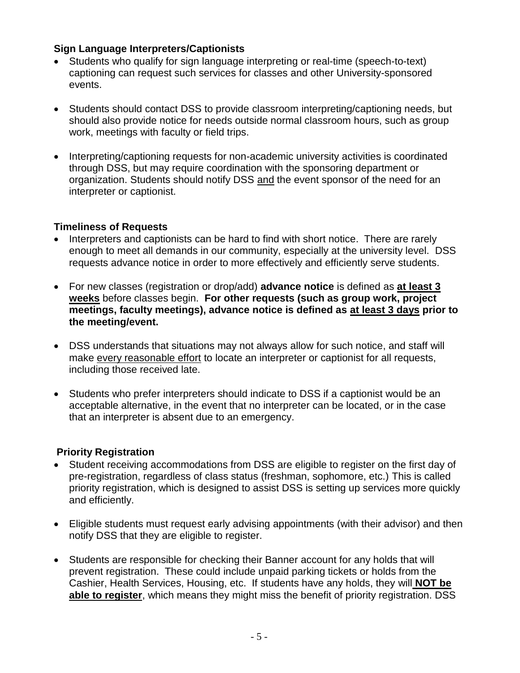#### **Sign Language Interpreters/Captionists**

- Students who qualify for sign language interpreting or real-time (speech-to-text) captioning can request such services for classes and other University-sponsored events.
- Students should contact DSS to provide classroom interpreting/captioning needs, but should also provide notice for needs outside normal classroom hours, such as group work, meetings with faculty or field trips.
- Interpreting/captioning requests for non-academic university activities is coordinated through DSS, but may require coordination with the sponsoring department or organization. Students should notify DSS and the event sponsor of the need for an interpreter or captionist.

#### **Timeliness of Requests**

- Interpreters and captionists can be hard to find with short notice. There are rarely enough to meet all demands in our community, especially at the university level. DSS requests advance notice in order to more effectively and efficiently serve students.
- For new classes (registration or drop/add) **advance notice** is defined as **at least 3 weeks** before classes begin. **For other requests (such as group work, project meetings, faculty meetings), advance notice is defined as at least 3 days prior to the meeting/event.**
- DSS understands that situations may not always allow for such notice, and staff will make every reasonable effort to locate an interpreter or captionist for all requests, including those received late.
- Students who prefer interpreters should indicate to DSS if a captionist would be an acceptable alternative, in the event that no interpreter can be located, or in the case that an interpreter is absent due to an emergency.

#### **Priority Registration**

- Student receiving accommodations from DSS are eligible to register on the first day of pre-registration, regardless of class status (freshman, sophomore, etc.) This is called priority registration, which is designed to assist DSS is setting up services more quickly and efficiently.
- Eligible students must request early advising appointments (with their advisor) and then notify DSS that they are eligible to register.
- Students are responsible for checking their Banner account for any holds that will prevent registration. These could include unpaid parking tickets or holds from the Cashier, Health Services, Housing, etc. If students have any holds, they will **NOT be able to register**, which means they might miss the benefit of priority registration. DSS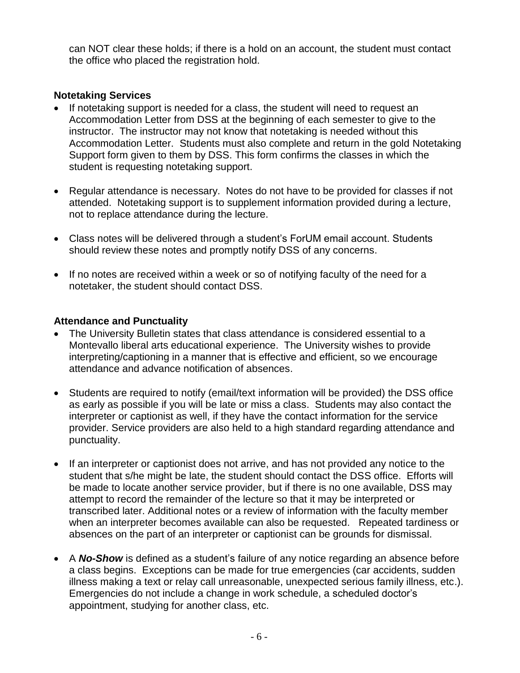can NOT clear these holds; if there is a hold on an account, the student must contact the office who placed the registration hold.

#### **Notetaking Services**

- If notetaking support is needed for a class, the student will need to request an Accommodation Letter from DSS at the beginning of each semester to give to the instructor. The instructor may not know that notetaking is needed without this Accommodation Letter. Students must also complete and return in the gold Notetaking Support form given to them by DSS. This form confirms the classes in which the student is requesting notetaking support.
- Regular attendance is necessary. Notes do not have to be provided for classes if not attended. Notetaking support is to supplement information provided during a lecture, not to replace attendance during the lecture.
- Class notes will be delivered through a student's ForUM email account. Students should review these notes and promptly notify DSS of any concerns.
- If no notes are received within a week or so of notifying faculty of the need for a notetaker, the student should contact DSS.

#### **Attendance and Punctuality**

- The University Bulletin states that class attendance is considered essential to a Montevallo liberal arts educational experience. The University wishes to provide interpreting/captioning in a manner that is effective and efficient, so we encourage attendance and advance notification of absences.
- Students are required to notify (email/text information will be provided) the DSS office as early as possible if you will be late or miss a class. Students may also contact the interpreter or captionist as well, if they have the contact information for the service provider. Service providers are also held to a high standard regarding attendance and punctuality.
- If an interpreter or captionist does not arrive, and has not provided any notice to the student that s/he might be late, the student should contact the DSS office. Efforts will be made to locate another service provider, but if there is no one available, DSS may attempt to record the remainder of the lecture so that it may be interpreted or transcribed later. Additional notes or a review of information with the faculty member when an interpreter becomes available can also be requested. Repeated tardiness or absences on the part of an interpreter or captionist can be grounds for dismissal.
- A *No-Show* is defined as a student's failure of any notice regarding an absence before a class begins. Exceptions can be made for true emergencies (car accidents, sudden illness making a text or relay call unreasonable, unexpected serious family illness, etc.). Emergencies do not include a change in work schedule, a scheduled doctor's appointment, studying for another class, etc.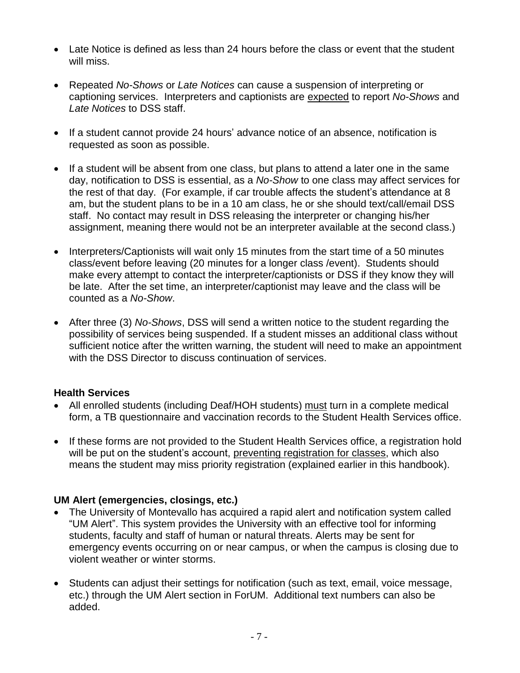- Late Notice is defined as less than 24 hours before the class or event that the student will miss.
- Repeated *No-Shows* or *Late Notices* can cause a suspension of interpreting or captioning services. Interpreters and captionists are expected to report *No-Shows* and *Late Notices* to DSS staff.
- If a student cannot provide 24 hours' advance notice of an absence, notification is requested as soon as possible.
- If a student will be absent from one class, but plans to attend a later one in the same day, notification to DSS is essential, as a *No-Show* to one class may affect services for the rest of that day. (For example, if car trouble affects the student's attendance at 8 am, but the student plans to be in a 10 am class, he or she should text/call/email DSS staff. No contact may result in DSS releasing the interpreter or changing his/her assignment, meaning there would not be an interpreter available at the second class.)
- Interpreters/Captionists will wait only 15 minutes from the start time of a 50 minutes class/event before leaving (20 minutes for a longer class /event). Students should make every attempt to contact the interpreter/captionists or DSS if they know they will be late. After the set time, an interpreter/captionist may leave and the class will be counted as a *No-Show*.
- After three (3) *No-Shows*, DSS will send a written notice to the student regarding the possibility of services being suspended. If a student misses an additional class without sufficient notice after the written warning, the student will need to make an appointment with the DSS Director to discuss continuation of services.

#### **Health Services**

- All enrolled students (including Deaf/HOH students) must turn in a complete medical form, a TB questionnaire and vaccination records to the Student Health Services office.
- If these forms are not provided to the Student Health Services office, a registration hold will be put on the student's account, preventing registration for classes, which also means the student may miss priority registration (explained earlier in this handbook).

#### **UM Alert (emergencies, closings, etc.)**

- The University of Montevallo has acquired a rapid alert and notification system called "UM Alert". This system provides the University with an effective tool for informing students, faculty and staff of human or natural threats. Alerts may be sent for emergency events occurring on or near campus, or when the campus is closing due to violent weather or winter storms.
- Students can adjust their settings for notification (such as text, email, voice message, etc.) through the UM Alert section in ForUM. Additional text numbers can also be added.